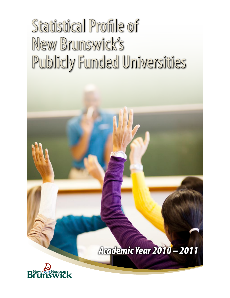# Statistical Profile of New Brunswick's Publicly Funded Universities

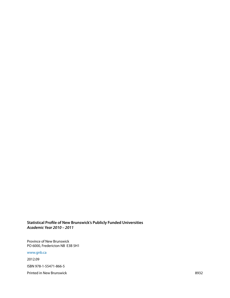#### **Statistical Profile of New Brunswick's Publicly Funded Universities** *Academic Year 2010 – 2011*

Province of New Brunswick PO 6000, Fredericton NB E3B 5H1

#### [www.gnb.ca](http://www2.gnb.ca/content/gnb/en.html)

2012.09 ISBN 978-1-55471-866-5 Printed in New Brunswick 8932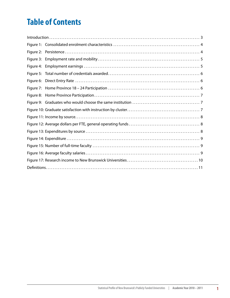# **Table of Contents**

| $Introduction \dots 3$ |  |  |  |
|------------------------|--|--|--|
|                        |  |  |  |
|                        |  |  |  |
| Figure 3:              |  |  |  |
| Figure 4:              |  |  |  |
|                        |  |  |  |
|                        |  |  |  |
|                        |  |  |  |
|                        |  |  |  |
|                        |  |  |  |
|                        |  |  |  |
|                        |  |  |  |
|                        |  |  |  |
|                        |  |  |  |
|                        |  |  |  |
|                        |  |  |  |
|                        |  |  |  |
|                        |  |  |  |
|                        |  |  |  |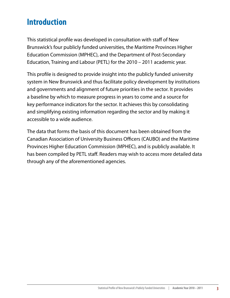# <span id="page-4-0"></span>**Introduction**

This statistical profile was developed in consultation with staff of New Brunswick's four publicly funded universities, the Maritime Provinces Higher Education Commission (MPHEC), and the Department of Post-Secondary Education, Training and Labour (PETL) for the 2010 – 2011 academic year.

This profile is designed to provide insight into the publicly funded university system in New Brunswick and thus facilitate policy development by institutions and governments and alignment of future priorities in the sector. It provides a baseline by which to measure progress in years to come and a source for key performance indicators for the sector. It achieves this by consolidating and simplifying existing information regarding the sector and by making it accessible to a wide audience.

The data that forms the basis of this document has been obtained from the Canadian Association of University Business Officers (CAUBO) and the Maritime Provinces Higher Education Commission (MPHEC), and is publicly available. It has been compiled by PETL staff. Readers may wish to access more detailed data through any of the aforementioned agencies.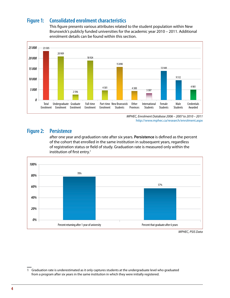#### <span id="page-5-0"></span>**Figure 1: Consolidated enrolment characteristics**

This figure presents various attributes related to the student population within New Brunswick's publicly funded universities for the academic year 2010 – 2011. Additional enrolment details can be found within this section.



*MPHEC, Enrolment Database 2006 – 2007 to 2010 – 2011* <http://www.mphec.ca/research/enrolment.aspx>

#### **Figure 2: Persistence**

after one year and graduation rate after six years. **Persistence** is defined as the percent of the cohort that enrolled in the same institution in subsequent years, regardless of registration status or field of study. Graduation rate is measured only within the institution of first entry.<sup>1</sup>



<sup>1</sup> Graduation rate is underestimated as it only captures students at the undergraduate level who graduated from a program after six years in the same institution in which they were initially registered.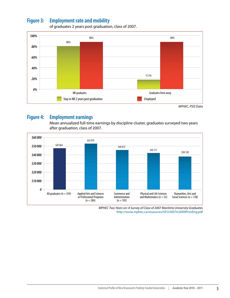#### <span id="page-6-0"></span>**Figure 3: Employment rate and mobility**



of graduates 2 years post graduation, class of 2007.

# **Figure 4: Employment earnings**

Mean annualized full-time earnings by discipline cluster, graduates surveyed two years after graduation, class of 2007.



*MPHEC Two Years on: A Survey of Class of 2007 Maritime University Graduates* <http://www.mphec.ca/resources/GFU2007in2009ProvEng.pdf>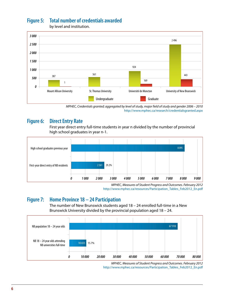## <span id="page-7-0"></span>**Figure 5: Total number of credentials awarded**



by level and institution.

*MPHEC, Credentials granted; aggregated by level of study, major field of study and gender 2006 – 2010* <http://www.mphec.ca/research/credentialsgranted.aspx>

#### **Figure 6: Direct Entry Rate**

First year direct entry full-time students in year n divided by the number of provincial high school graduates in year n-1.



*MPHEC, Measures of Student Progress and Outcomes. February 2012* [http://www.mphec.ca/resources/Participation\\_Tables\\_Feb2012\\_En.pdf](http://www.mphec.ca/resources/Participation_Tables_Feb2012_En.pdf)

#### **Figure 7: Home Province 18 – 24 Participation**

The number of New Brunswick students aged 18 – 24 enrolled full-time in a New Brunswick University divided by the provincial population aged 18 – 24.



*MPHEC, Measures of Student Progress and Outcomes. February 2012* [http://www.mphec.ca/resources/Participation\\_Tables\\_Feb2012\\_En.pdf](http://www.mphec.ca/resources/Participation_Tables_Feb2012_En.pdf)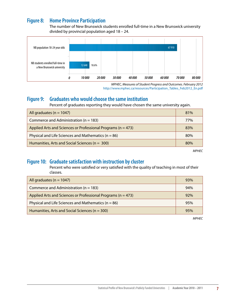#### <span id="page-8-0"></span>**Figure 8: Home Province Participation**

The number of New Brunswick students enrolled full-time in a New Brunswick university divided by provincial population aged 18 – 24.



*MPHEC, Measures of Student Progress and Outcomes. February 2012* [http://www.mphec.ca/resources/Participation\\_Tables\\_Feb2012\\_En.pdf](http://www.mphec.ca/resources/Participation_Tables_Feb2012_En.pdf)

#### **Figure 9: Graduates who would choose the same institution**

Percent of graduates reporting they would have chosen the same university again.

| All graduates ( $n = 1047$ )                                     | 81% |
|------------------------------------------------------------------|-----|
| Commerce and Administration ( $n = 183$ )                        | 77% |
| Applied Arts and Sciences or Professional Programs ( $n = 473$ ) | 83% |
| Physical and Life Sciences and Mathematics ( $n = 86$ )          | 80% |
| Humanities, Arts and Social Sciences ( $n = 300$ )               | 80% |

*MPHEC*

#### **Figure 10: Graduate satisfaction with instruction by cluster**

Percent who were satisfied or very satisfied with the quality of teaching in most of their classes.

| All graduates ( $n = 1047$ )                                     | 93% |
|------------------------------------------------------------------|-----|
| Commerce and Administration ( $n = 183$ )                        | 94% |
| Applied Arts and Sciences or Professional Programs ( $n = 473$ ) | 92% |
| Physical and Life Sciences and Mathematics ( $n = 86$ )          | 95% |
| Humanities, Arts and Social Sciences ( $n = 300$ )               | 95% |

*MPHEC*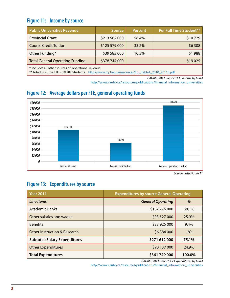#### <span id="page-9-0"></span>**Figure 11: Income by source**

| <b>Public Universities Revenue</b>     | <b>Source</b> | <b>Percent</b> | Per Full Time Student** |
|----------------------------------------|---------------|----------------|-------------------------|
| <b>Provincial Grant</b>                | \$213 582 000 | 56.4%          | \$10729                 |
| <b>Course Credit Tuition</b>           | \$125 579 000 | 33.2%          | \$6 308                 |
| Other Funding*                         | \$39 583 000  | 10.5%          | \$1988                  |
| <b>Total General Operating Funding</b> | \$378 744 000 |                | \$19025                 |
|                                        |               |                |                         |

\* Includes all other sources of operational revenue

\*\* Total Full-Time FTE = 19 907 Students [http://www.mphec.ca/resources/Enr\\_Table4\\_2010\\_2011E.pdf](http://www.mphec.ca/resources/Enr_Table4_2010_2011E.pdf)

*CAUBO, 2011, Report 3.1, Income by Fund*

[http://www.caubo.ca/resources/publications/financial\\_information\\_universities](http://www.caubo.ca/resources/publications/financial_information_universities)

#### **Figure 12: Average dollars per FTE, general operating funds**



*Source data Figure 11*

#### **Figure 13: Expenditures by source**

| <b>Year 2011</b>                     | <b>Expenditures by source General Operating</b> |        |  |
|--------------------------------------|-------------------------------------------------|--------|--|
| Line Items                           | <b>General Operating</b>                        | %      |  |
| Academic Ranks                       | \$137 776 000                                   | 38.1%  |  |
| Other salaries and wages             | \$93 527 000                                    | 25.9%  |  |
| <b>Benefits</b>                      | \$33 925 000                                    | 9.4%   |  |
| Other Instruction & Research         | \$6 384 000                                     | 1.8%   |  |
| <b>Subtotal: Salary Expenditures</b> | \$271 612 000                                   | 75.1%  |  |
| <b>Other Expenditures</b>            | \$90 137 000                                    | 24.9%  |  |
| <b>Total Expenditures</b>            | \$361 749 000                                   | 100.0% |  |

*CAUBO, 2011 Report 3.2 Expenditures by Fund*

[http://www.caubo.ca/resources/publications/financial\\_information\\_universities](http://www.caubo.ca/resources/publications/financial_information_universities)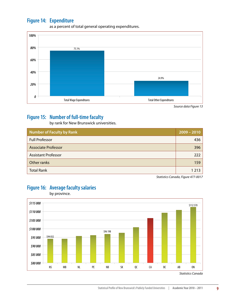#### <span id="page-10-0"></span>**Figure 14: Expenditure**



as a percent of total general operating expenditures.

## **Figure 15: Number of full-time faculty**

by rank for New Brunswick universities.

| <b>Number of Faculty by Rank</b> | $2009 - 2010$ |
|----------------------------------|---------------|
| <b>Full Professor</b>            | 436           |
| <b>Associate Professor</b>       | 396           |
| <b>Assistant Professor</b>       | 222           |
| Other ranks                      | 159           |
| <b>Total Rank</b>                | 1 2 1 3       |

*Statistics Canada, Figure 477-0017*



## **Figure 16: Average faculty salaries**

by province.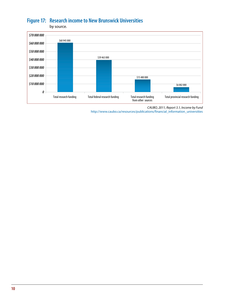## <span id="page-11-0"></span>**Figure 17: Research income to New Brunswick Universities**

by source.



*CAUBO, 2011, Report 3.1, Income by Fund*

[http://www.caubo.ca/resources/publications/financial\\_information\\_universities](http://www.caubo.ca/resources/publications/financial_information_universities)